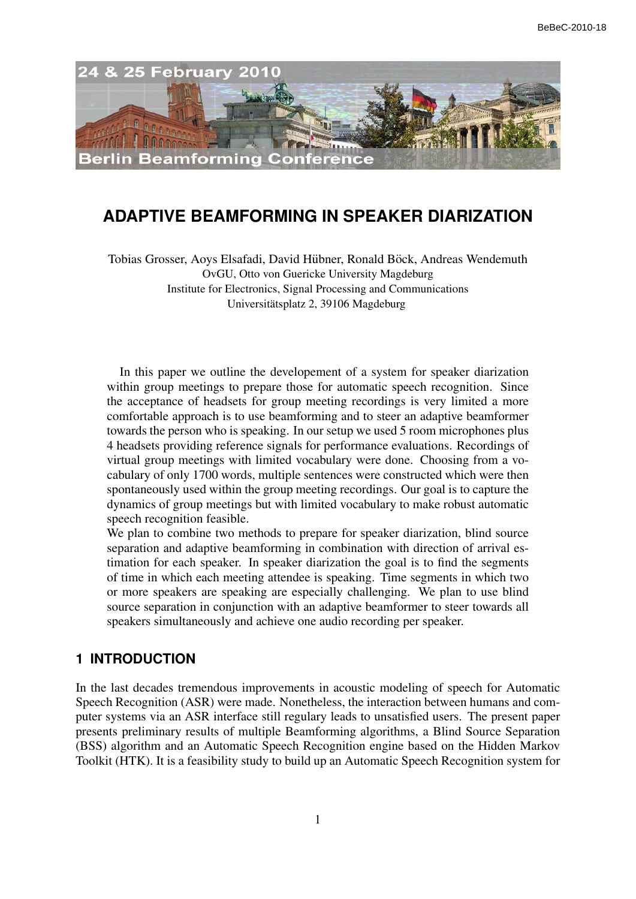

# **ADAPTIVE BEAMFORMING IN SPEAKER DIARIZATION**

Tobias Grosser, Aoys Elsafadi, David Hübner, Ronald Böck, Andreas Wendemuth OvGU, Otto von Guericke University Magdeburg Institute for Electronics, Signal Processing and Communications Universitätsplatz 2, 39106 Magdeburg

In this paper we outline the developement of a system for speaker diarization within group meetings to prepare those for automatic speech recognition. Since the acceptance of headsets for group meeting recordings is very limited a more comfortable approach is to use beamforming and to steer an adaptive beamformer towards the person who is speaking. In our setup we used 5 room microphones plus 4 headsets providing reference signals for performance evaluations. Recordings of virtual group meetings with limited vocabulary were done. Choosing from a vocabulary of only 1700 words, multiple sentences were constructed which were then spontaneously used within the group meeting recordings. Our goal is to capture the dynamics of group meetings but with limited vocabulary to make robust automatic speech recognition feasible.

We plan to combine two methods to prepare for speaker diarization, blind source separation and adaptive beamforming in combination with direction of arrival estimation for each speaker. In speaker diarization the goal is to find the segments of time in which each meeting attendee is speaking. Time segments in which two or more speakers are speaking are especially challenging. We plan to use blind source separation in conjunction with an adaptive beamformer to steer towards all speakers simultaneously and achieve one audio recording per speaker.

### **1 INTRODUCTION**

In the last decades tremendous improvements in acoustic modeling of speech for Automatic Speech Recognition (ASR) were made. Nonetheless, the interaction between humans and computer systems via an ASR interface still regulary leads to unsatisfied users. The present paper presents preliminary results of multiple Beamforming algorithms, a Blind Source Separation (BSS) algorithm and an Automatic Speech Recognition engine based on the Hidden Markov Toolkit (HTK). It is a feasibility study to build up an Automatic Speech Recognition system for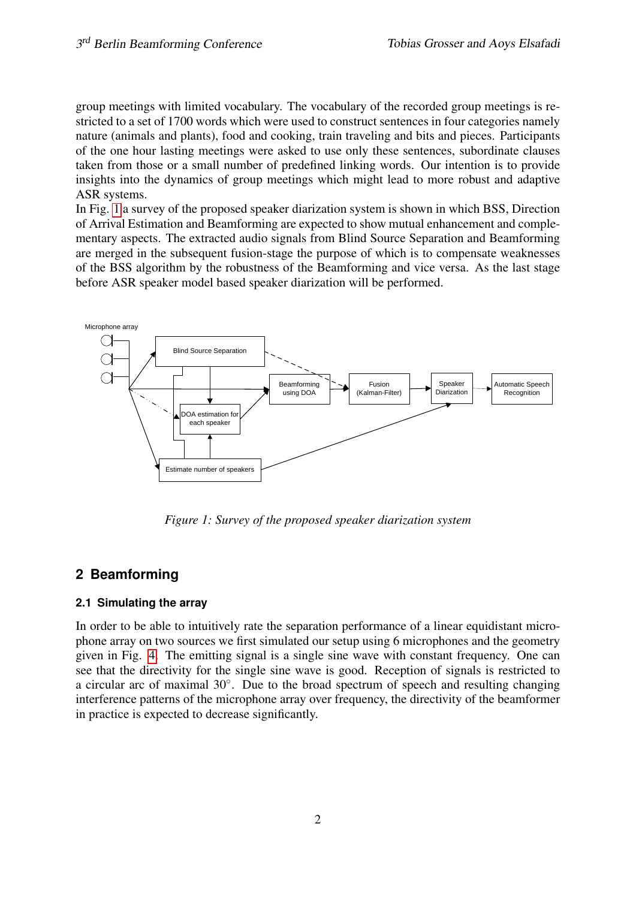group meetings with limited vocabulary. The vocabulary of the recorded group meetings is restricted to a set of 1700 words which were used to construct sentences in four categories namely nature (animals and plants), food and cooking, train traveling and bits and pieces. Participants of the one hour lasting meetings were asked to use only these sentences, subordinate clauses taken from those or a small number of predefined linking words. Our intention is to provide insights into the dynamics of group meetings which might lead to more robust and adaptive ASR systems.

In Fig. [1](#page-1-0) a survey of the proposed speaker diarization system is shown in which BSS, Direction of Arrival Estimation and Beamforming are expected to show mutual enhancement and complementary aspects. The extracted audio signals from Blind Source Separation and Beamforming are merged in the subsequent fusion-stage the purpose of which is to compensate weaknesses of the BSS algorithm by the robustness of the Beamforming and vice versa. As the last stage before ASR speaker model based speaker diarization will be performed.



<span id="page-1-0"></span>*Figure 1: Survey of the proposed speaker diarization system*

## **2 Beamforming**

### **2.1 Simulating the array**

In order to be able to intuitively rate the separation performance of a linear equidistant microphone array on two sources we first simulated our setup using 6 microphones and the geometry given in Fig. [4.](#page-3-0) The emitting signal is a single sine wave with constant frequency. One can see that the directivity for the single sine wave is good. Reception of signals is restricted to a circular arc of maximal 30◦ . Due to the broad spectrum of speech and resulting changing interference patterns of the microphone array over frequency, the directivity of the beamformer in practice is expected to decrease significantly.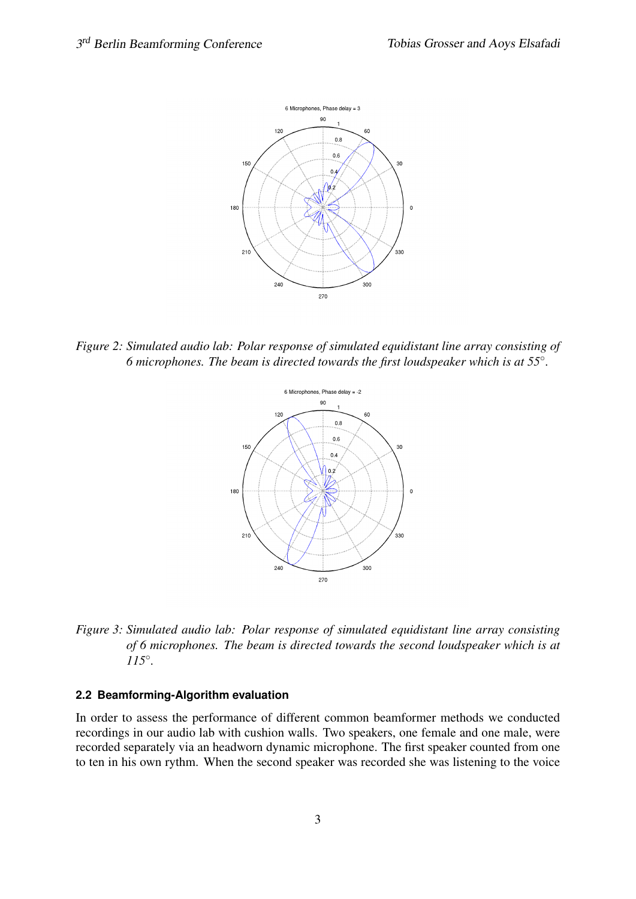

*Figure 2: Simulated audio lab: Polar response of simulated equidistant line array consisting of 6 microphones. The beam is directed towards the first loudspeaker which is at 55*◦ *.*



*Figure 3: Simulated audio lab: Polar response of simulated equidistant line array consisting of 6 microphones. The beam is directed towards the second loudspeaker which is at 115*◦ *.*

#### **2.2 Beamforming-Algorithm evaluation**

In order to assess the performance of different common beamformer methods we conducted recordings in our audio lab with cushion walls. Two speakers, one female and one male, were recorded separately via an headworn dynamic microphone. The first speaker counted from one to ten in his own rythm. When the second speaker was recorded she was listening to the voice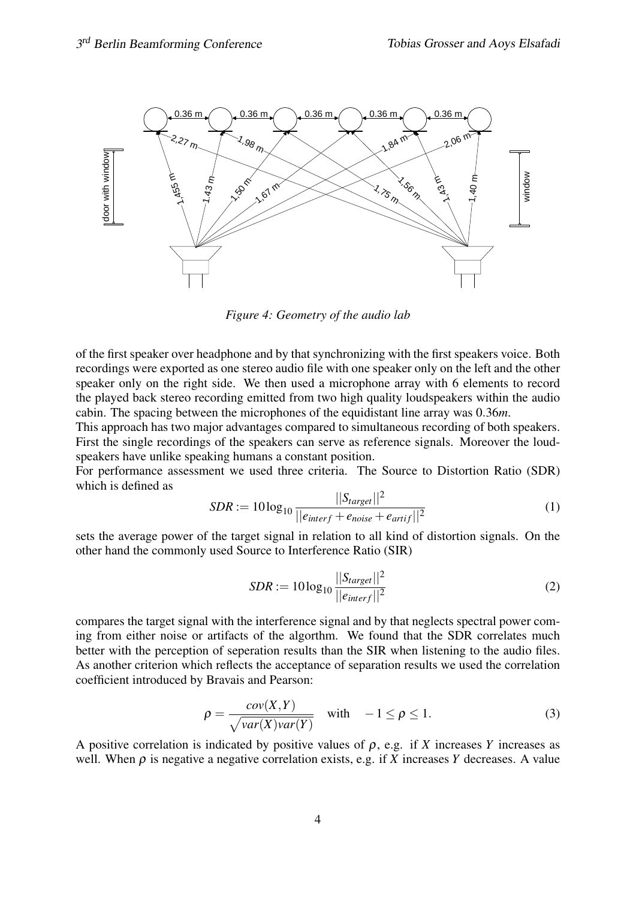

<span id="page-3-0"></span>*Figure 4: Geometry of the audio lab*

of the first speaker over headphone and by that synchronizing with the first speakers voice. Both recordings were exported as one stereo audio file with one speaker only on the left and the other speaker only on the right side. We then used a microphone array with 6 elements to record the played back stereo recording emitted from two high quality loudspeakers within the audio cabin. The spacing between the microphones of the equidistant line array was 0.36*m*.

This approach has two major advantages compared to simultaneous recording of both speakers. First the single recordings of the speakers can serve as reference signals. Moreover the loudspeakers have unlike speaking humans a constant position.

For performance assessment we used three criteria. The Source to Distortion Ratio (SDR) which is defined as

$$
SDR := 10 \log_{10} \frac{||S_{target}||^2}{||e_{interf} + e_{noise} + e_{artif}||^2}
$$
(1)

sets the average power of the target signal in relation to all kind of distortion signals. On the other hand the commonly used Source to Interference Ratio (SIR)

$$
SDR := 10 \log_{10} \frac{||S_{target}||^2}{||e_{interf}||^2}
$$
 (2)

compares the target signal with the interference signal and by that neglects spectral power coming from either noise or artifacts of the algorthm. We found that the SDR correlates much better with the perception of seperation results than the SIR when listening to the audio files. As another criterion which reflects the acceptance of separation results we used the correlation coefficient introduced by Bravais and Pearson:

$$
\rho = \frac{cov(X, Y)}{\sqrt{var(X)var(Y)}} \quad \text{with} \quad -1 \le \rho \le 1. \tag{3}
$$

A positive correlation is indicated by positive values of  $\rho$ , e.g. if *X* increases *Y* increases as well. When  $\rho$  is negative a negative correlation exists, e.g. if *X* increases *Y* decreases. A value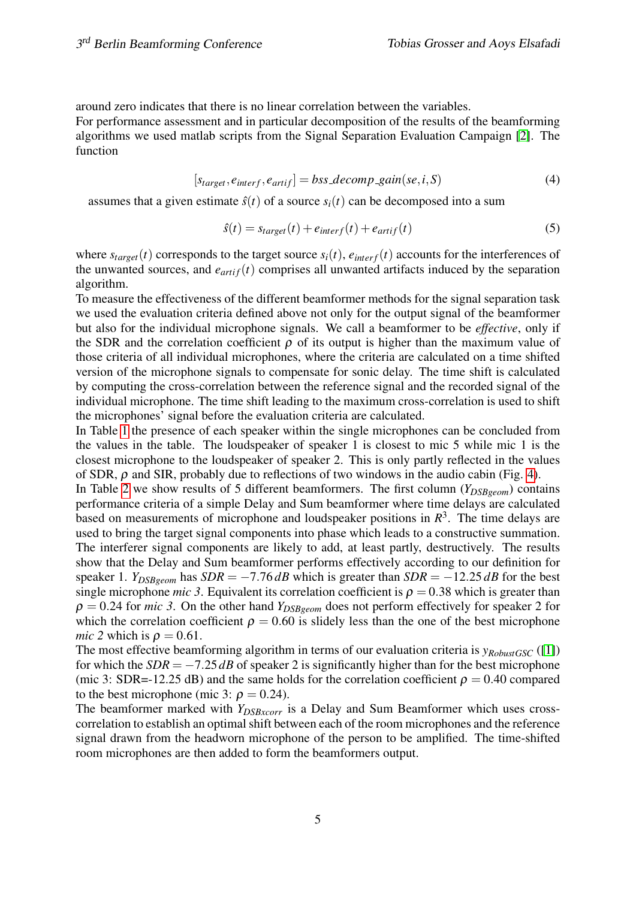around zero indicates that there is no linear correlation between the variables.

For performance assessment and in particular decomposition of the results of the beamforming algorithms we used matlab scripts from the Signal Separation Evaluation Campaign [\[2\]](#page-8-0). The function

$$
[s_{target}, e_{interf}, e_{artif}] = bss\_decomp\_gain(se, i, S)
$$
\n
$$
(4)
$$

assumes that a given estimate  $\hat{s}(t)$  of a source  $s_i(t)$  can be decomposed into a sum

$$
\hat{s}(t) = s_{target}(t) + e_{interf}(t) + e_{artif}(t)
$$
\n(5)

where  $s_{target}(t)$  corresponds to the target source  $s_i(t)$ ,  $e_{interf}(t)$  accounts for the interferences of the unwanted sources, and  $e_{artif}(t)$  comprises all unwanted artifacts induced by the separation algorithm.

To measure the effectiveness of the different beamformer methods for the signal separation task we used the evaluation criteria defined above not only for the output signal of the beamformer but also for the individual microphone signals. We call a beamformer to be *effective*, only if the SDR and the correlation coefficient  $\rho$  of its output is higher than the maximum value of those criteria of all individual microphones, where the criteria are calculated on a time shifted version of the microphone signals to compensate for sonic delay. The time shift is calculated by computing the cross-correlation between the reference signal and the recorded signal of the individual microphone. The time shift leading to the maximum cross-correlation is used to shift the microphones' signal before the evaluation criteria are calculated.

In Table [1](#page-5-0) the presence of each speaker within the single microphones can be concluded from the values in the table. The loudspeaker of speaker 1 is closest to mic 5 while mic 1 is the closest microphone to the loudspeaker of speaker 2. This is only partly reflected in the values of SDR,  $\rho$  and SIR, probably due to reflections of two windows in the audio cabin (Fig. [4\)](#page-3-0).

In Table [2](#page-5-1) we show results of 5 different beamformers. The first column (*Y<sub>DSBgeom</sub>*) contains performance criteria of a simple Delay and Sum beamformer where time delays are calculated based on measurements of microphone and loudspeaker positions in  $R<sup>3</sup>$ . The time delays are used to bring the target signal components into phase which leads to a constructive summation. The interferer signal components are likely to add, at least partly, destructively. The results show that the Delay and Sum beamformer performs effectively according to our definition for speaker 1. *Y*<sub>DSBgeom</sub> has  $SDR = -7.76$  *dB* which is greater than  $SDR = -12.25$  *dB* for the best single microphone *mic 3*. Equivalent its correlation coefficient is  $\rho = 0.38$  which is greater than  $\rho = 0.24$  for *mic 3*. On the other hand  $Y_{DSBgeom}$  does not perform effectively for speaker 2 for which the correlation coefficient  $\rho = 0.60$  is slidely less than the one of the best microphone *mic 2* which is  $\rho = 0.61$ .

The most effective beamforming algorithm in terms of our evaluation criteria is *yRobustGSC* ([\[1\]](#page-8-1)) for which the  $SDR = -7.25$  dB of speaker 2 is significantly higher than for the best microphone (mic 3: SDR=-12.25 dB) and the same holds for the correlation coefficient  $\rho = 0.40$  compared to the best microphone (mic 3:  $\rho = 0.24$ ).

The beamformer marked with *Y<sub>DSBxcorr</sub>* is a Delay and Sum Beamformer which uses crosscorrelation to establish an optimal shift between each of the room microphones and the reference signal drawn from the headworn microphone of the person to be amplified. The time-shifted room microphones are then added to form the beamformers output.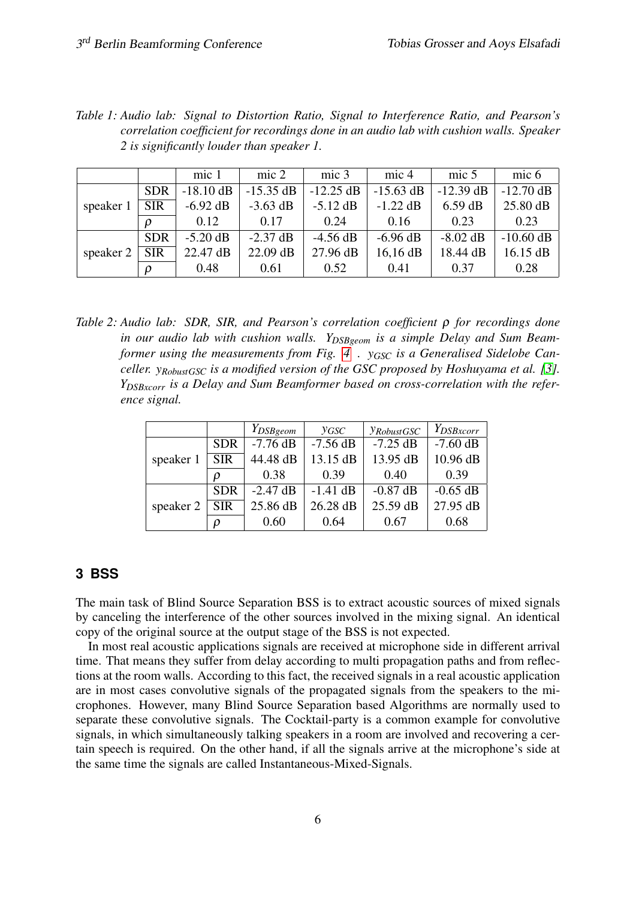| correlation coefficient for recordings done in an audio lab with cushion walls. Speaker<br>2 is significantly louder than speaker 1. |            |             |                 |             |             |                  |                  |  |  |
|--------------------------------------------------------------------------------------------------------------------------------------|------------|-------------|-----------------|-------------|-------------|------------------|------------------|--|--|
|                                                                                                                                      |            | mic 1       | $\text{mic } 2$ | mic 3       | mic 4       | mic <sub>5</sub> | mic <sub>6</sub> |  |  |
| speaker 1                                                                                                                            | <b>SDR</b> | $-18.10$ dB | $-15.35$ dB     | $-12.25$ dB | $-15.63$ dB | $-12.39$ dB      | $-12.70$ dB      |  |  |
|                                                                                                                                      | <b>SIR</b> | $-6.92$ dB  | $-3.63$ dB      | $-5.12$ dB  | $-1.22$ dB  | $6.59$ dB        | 25.80 dB         |  |  |
|                                                                                                                                      |            | 0.12        | 0.17            | 0.24        | 0.16        | 0.23             | 0.23             |  |  |
| speaker 2                                                                                                                            | <b>SDR</b> | $-5.20$ dB  | $-2.37$ dB      | $-4.56$ dB  | $-6.96$ dB  | $-8.02$ dB       | $-10.60$ dB      |  |  |
|                                                                                                                                      | <b>SIR</b> | 22.47 dB    | 22.09 dB        | 27.96 dB    | $16, 16$ dB | 18.44 dB         | 16.15 dB         |  |  |
|                                                                                                                                      |            | 0.48        | 0.61            | 0.52        | 0.41        | 0.37             | 0.28             |  |  |

<span id="page-5-0"></span>*Table 1: Audio lab: Signal to Distortion Ratio, Signal to Interference Ratio, and Pearson's correlation coefficient for recordings done in an audio lab with cushion walls. Speaker*

<span id="page-5-1"></span>*Table 2: Audio lab: SDR, SIR, and Pearson's correlation coefficient* ρ *for recordings done in our audio lab with cushion walls. YDSBgeom is a simple Delay and Sum Beamformer using the measurements from Fig. [4](#page-3-0) . yGSC is a Generalised Sidelobe Canceller. yRobustGSC is a modified version of the GSC proposed by Hoshuyama et al. [\[3\]](#page-8-2). YDSBxcorr is a Delay and Sum Beamformer based on cross-correlation with the reference signal.*

|           |            | $Y_{DSBgeom}$ | <b>YGSC</b> | <i>YRobustGSC</i> | Y <sub>DSBxcorr</sub> |
|-----------|------------|---------------|-------------|-------------------|-----------------------|
|           | <b>SDR</b> | $-7.76$ dB    | $-7.56$ dB  | $-7.25$ dB        | $-7.60$ dB            |
| speaker 1 | <b>SIR</b> | 44.48 dB      | 13.15 dB    | 13.95 dB          | 10.96 dB              |
|           | 0          | 0.38          | 0.39        | 0.40              | 0.39                  |
|           | <b>SDR</b> | $-2.47$ dB    | $-1.41$ dB  | $-0.87$ dB        | $-0.65$ dB            |
| speaker 2 | <b>SIR</b> | 25.86 dB      | 26.28 dB    | 25.59 dB          | 27.95 dB              |
|           |            | 0.60          | 0.64        | 0.67              | 0.68                  |

### **3 BSS**

The main task of Blind Source Separation BSS is to extract acoustic sources of mixed signals by canceling the interference of the other sources involved in the mixing signal. An identical copy of the original source at the output stage of the BSS is not expected.

In most real acoustic applications signals are received at microphone side in different arrival time. That means they suffer from delay according to multi propagation paths and from reflections at the room walls. According to this fact, the received signals in a real acoustic application are in most cases convolutive signals of the propagated signals from the speakers to the microphones. However, many Blind Source Separation based Algorithms are normally used to separate these convolutive signals. The Cocktail-party is a common example for convolutive signals, in which simultaneously talking speakers in a room are involved and recovering a certain speech is required. On the other hand, if all the signals arrive at the microphone's side at the same time the signals are called Instantaneous-Mixed-Signals.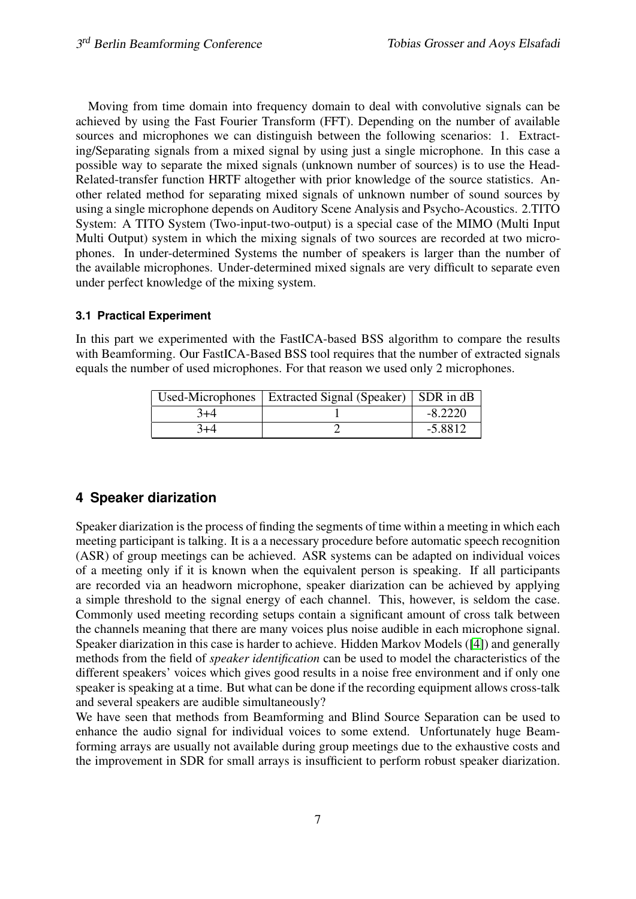Moving from time domain into frequency domain to deal with convolutive signals can be achieved by using the Fast Fourier Transform (FFT). Depending on the number of available sources and microphones we can distinguish between the following scenarios: 1. Extracting/Separating signals from a mixed signal by using just a single microphone. In this case a possible way to separate the mixed signals (unknown number of sources) is to use the Head-Related-transfer function HRTF altogether with prior knowledge of the source statistics. Another related method for separating mixed signals of unknown number of sound sources by using a single microphone depends on Auditory Scene Analysis and Psycho-Acoustics. 2.TITO System: A TITO System (Two-input-two-output) is a special case of the MIMO (Multi Input Multi Output) system in which the mixing signals of two sources are recorded at two microphones. In under-determined Systems the number of speakers is larger than the number of the available microphones. Under-determined mixed signals are very difficult to separate even under perfect knowledge of the mixing system.

#### **3.1 Practical Experiment**

In this part we experimented with the FastICA-based BSS algorithm to compare the results with Beamforming. Our FastICA-Based BSS tool requires that the number of extracted signals equals the number of used microphones. For that reason we used only 2 microphones.

|       | Used-Microphones   Extracted Signal (Speaker)   SDR in dB |           |
|-------|-----------------------------------------------------------|-----------|
| $3+4$ |                                                           | $-8.2220$ |
| $3+4$ |                                                           | $-5.8812$ |

## **4 Speaker diarization**

Speaker diarization is the process of finding the segments of time within a meeting in which each meeting participant is talking. It is a a necessary procedure before automatic speech recognition (ASR) of group meetings can be achieved. ASR systems can be adapted on individual voices of a meeting only if it is known when the equivalent person is speaking. If all participants are recorded via an headworn microphone, speaker diarization can be achieved by applying a simple threshold to the signal energy of each channel. This, however, is seldom the case. Commonly used meeting recording setups contain a significant amount of cross talk between the channels meaning that there are many voices plus noise audible in each microphone signal. Speaker diarization in this case is harder to achieve. Hidden Markov Models ([\[4\]](#page-8-3)) and generally methods from the field of *speaker identification* can be used to model the characteristics of the different speakers' voices which gives good results in a noise free environment and if only one speaker is speaking at a time. But what can be done if the recording equipment allows cross-talk and several speakers are audible simultaneously?

We have seen that methods from Beamforming and Blind Source Separation can be used to enhance the audio signal for individual voices to some extend. Unfortunately huge Beamforming arrays are usually not available during group meetings due to the exhaustive costs and the improvement in SDR for small arrays is insufficient to perform robust speaker diarization.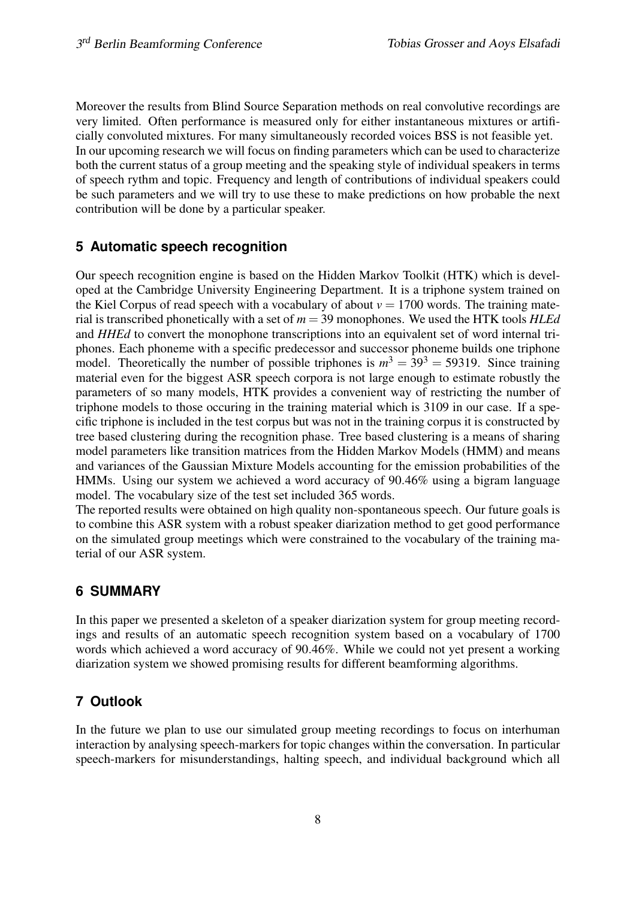Moreover the results from Blind Source Separation methods on real convolutive recordings are very limited. Often performance is measured only for either instantaneous mixtures or artificially convoluted mixtures. For many simultaneously recorded voices BSS is not feasible yet. In our upcoming research we will focus on finding parameters which can be used to characterize both the current status of a group meeting and the speaking style of individual speakers in terms of speech rythm and topic. Frequency and length of contributions of individual speakers could be such parameters and we will try to use these to make predictions on how probable the next contribution will be done by a particular speaker.

## **5 Automatic speech recognition**

Our speech recognition engine is based on the Hidden Markov Toolkit (HTK) which is developed at the Cambridge University Engineering Department. It is a triphone system trained on the Kiel Corpus of read speech with a vocabulary of about  $v = 1700$  words. The training material is transcribed phonetically with a set of *m* = 39 monophones. We used the HTK tools *HLEd* and *HHEd* to convert the monophone transcriptions into an equivalent set of word internal triphones. Each phoneme with a specific predecessor and successor phoneme builds one triphone model. Theoretically the number of possible triphones is  $m^3 = 39^3 = 59319$ . Since training material even for the biggest ASR speech corpora is not large enough to estimate robustly the parameters of so many models, HTK provides a convenient way of restricting the number of triphone models to those occuring in the training material which is 3109 in our case. If a specific triphone is included in the test corpus but was not in the training corpus it is constructed by tree based clustering during the recognition phase. Tree based clustering is a means of sharing model parameters like transition matrices from the Hidden Markov Models (HMM) and means and variances of the Gaussian Mixture Models accounting for the emission probabilities of the HMMs. Using our system we achieved a word accuracy of 90.46% using a bigram language model. The vocabulary size of the test set included 365 words.

The reported results were obtained on high quality non-spontaneous speech. Our future goals is to combine this ASR system with a robust speaker diarization method to get good performance on the simulated group meetings which were constrained to the vocabulary of the training material of our ASR system.

## **6 SUMMARY**

In this paper we presented a skeleton of a speaker diarization system for group meeting recordings and results of an automatic speech recognition system based on a vocabulary of 1700 words which achieved a word accuracy of 90.46%. While we could not yet present a working diarization system we showed promising results for different beamforming algorithms.

## **7 Outlook**

In the future we plan to use our simulated group meeting recordings to focus on interhuman interaction by analysing speech-markers for topic changes within the conversation. In particular speech-markers for misunderstandings, halting speech, and individual background which all